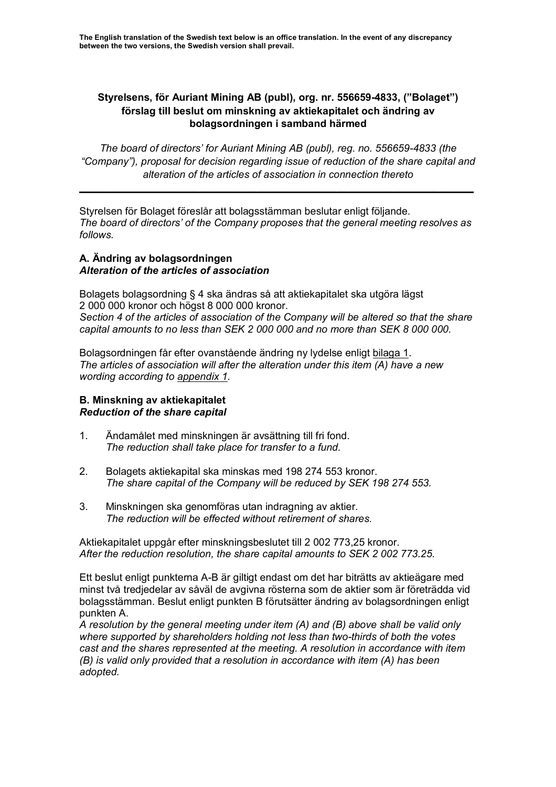## **Styrelsens, för Auriant Mining AB (publ), org. nr. 556659-4833, ("Bolaget") förslag till beslut om minskning av aktiekapitalet och ändring av bolagsordningen i samband härmed**

*The board of directors' for Auriant Mining AB (publ), reg. no. 556659-4833 (the "Company"), proposal for decision regarding issue of reduction of the share capital and alteration of the articles of association in connection thereto*

Styrelsen för Bolaget föreslår att bolagsstämman beslutar enligt följande. *The board of directors' of the Company proposes that the general meeting resolves as follows.*

**\_\_\_\_\_\_\_\_\_\_\_\_\_\_\_\_\_\_\_\_\_\_\_\_\_\_\_\_\_\_\_\_\_\_\_\_\_\_\_\_\_\_\_\_\_\_\_\_\_\_\_\_\_\_\_\_\_\_\_\_\_\_\_\_\_\_\_\_\_**

## **A. Ändring av bolagsordningen** *Alteration of the articles of association*

Bolagets bolagsordning § 4 ska ändras så att aktiekapitalet ska utgöra lägst 2 000 000 kronor och högst 8 000 000 kronor. *Section 4 of the articles of association of the Company will be altered so that the share capital amounts to no less than SEK 2 000 000 and no more than SEK 8 000 000.* 

Bolagsordningen får efter ovanstående ändring ny lydelse enligt bilaga 1. *The articles of association will after the alteration under this item (A) have a new wording according to appendix 1.*

## **B. Minskning av aktiekapitalet** *Reduction of the share capital*

- 1. Ändamålet med minskningen är avsättning till fri fond. *The reduction shall take place for transfer to a fund.*
- 2. Bolagets aktiekapital ska minskas med 198 274 553 kronor. *The share capital of the Company will be reduced by SEK 198 274 553.*
- 3. Minskningen ska genomföras utan indragning av aktier. *The reduction will be effected without retirement of shares.*

Aktiekapitalet uppgår efter minskningsbeslutet till 2 002 773,25 kronor. *After the reduction resolution, the share capital amounts to SEK 2 002 773.25.* 

Ett beslut enligt punkterna A-B är giltigt endast om det har biträtts av aktieägare med minst två tredjedelar av såväl de avgivna rösterna som de aktier som är företrädda vid bolagsstämman. Beslut enligt punkten B förutsätter ändring av bolagsordningen enligt punkten A.

*A resolution by the general meeting under item (A) and (B) above shall be valid only where supported by shareholders holding not less than two-thirds of both the votes cast and the shares represented at the meeting. A resolution in accordance with item (B) is valid only provided that a resolution in accordance with item (A) has been adopted.*